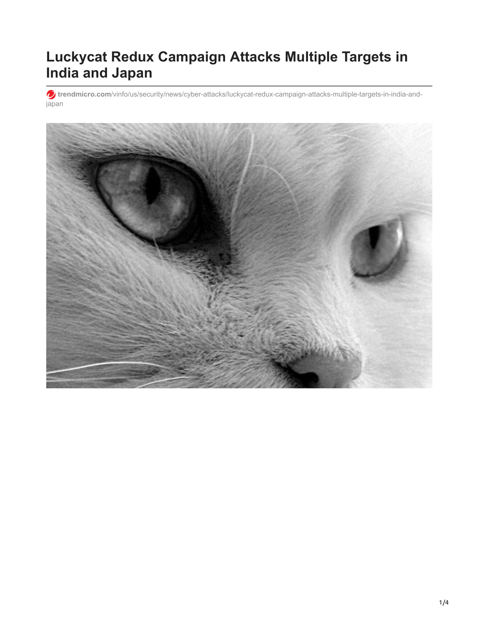# **Luckycat Redux Campaign Attacks Multiple Targets in India and Japan**

**trendmicro.com**[/vinfo/us/security/news/cyber-attacks/luckycat-redux-campaign-attacks-multiple-targets-in-india-and](https://www.trendmicro.com/vinfo/us/security/news/cyber-attacks/luckycat-redux-campaign-attacks-multiple-targets-in-india-and-japan)japan

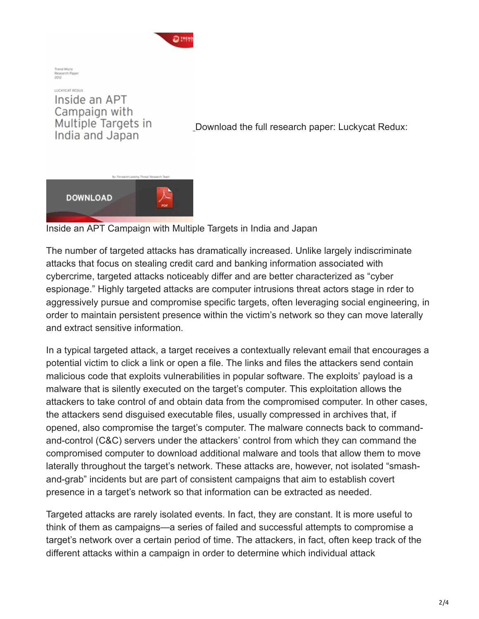

**Trend Micro** Research Paper  $2002$ 

LUCKYCAT REDUX Inside an APT Campaign with Multiple Targets in India and Japan

[D](https://documents.trendmicro.com/assets/wp/wp_luckycat_redux.pdf)ownload the full research paper: Luckycat Redux:



Inside an APT Campaign with Multiple Targets in India and Japan

The number of targeted attacks has dramatically increased. Unlike largely indiscriminate attacks that focus on stealing credit card and banking information associated with cybercrime, targeted attacks noticeably differ and are better characterized as "cyber espionage." Highly targeted attacks are computer intrusions threat actors stage in rder to aggressively pursue and compromise specific targets, often leveraging social engineering, in order to maintain persistent presence within the victim's network so they can move laterally and extract sensitive information.

In a typical targeted attack, a target receives a contextually relevant email that encourages a potential victim to click a link or open a file. The links and files the attackers send contain malicious code that exploits vulnerabilities in popular software. The exploits' payload is a malware that is silently executed on the target's computer. This exploitation allows the attackers to take control of and obtain data from the compromised computer. In other cases, the attackers send disguised executable files, usually compressed in archives that, if opened, also compromise the target's computer. The malware connects back to commandand-control (C&C) servers under the attackers' control from which they can command the compromised computer to download additional malware and tools that allow them to move laterally throughout the target's network. These attacks are, however, not isolated "smashand-grab" incidents but are part of consistent campaigns that aim to establish covert presence in a target's network so that information can be extracted as needed.

Targeted attacks are rarely isolated events. In fact, they are constant. It is more useful to think of them as campaigns—a series of failed and successful attempts to compromise a target's network over a certain period of time. The attackers, in fact, often keep track of the different attacks within a campaign in order to determine which individual attack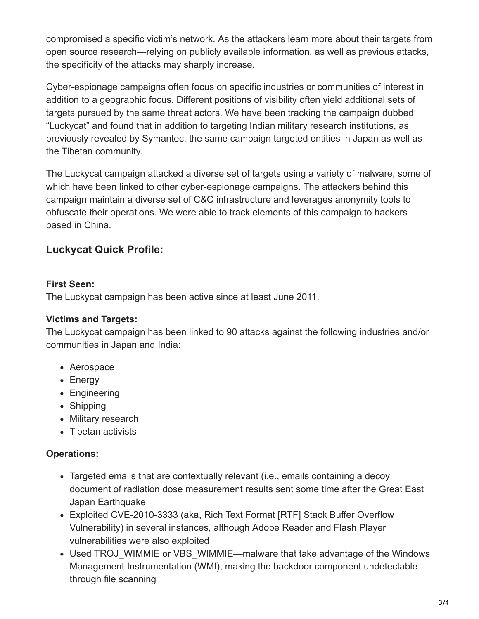compromised a specific victim's network. As the attackers learn more about their targets from open source research—relying on publicly available information, as well as previous attacks, the specificity of the attacks may sharply increase.

Cyber-espionage campaigns often focus on specific industries or communities of interest in addition to a geographic focus. Different positions of visibility often yield additional sets of targets pursued by the same threat actors. We have been tracking the campaign dubbed "Luckycat" and found that in addition to targeting Indian military research institutions, as previously revealed by Symantec, the same campaign targeted entities in Japan as well as the Tibetan community.

The Luckycat campaign attacked a diverse set of targets using a variety of malware, some of which have been linked to other cyber-espionage campaigns. The attackers behind this campaign maintain a diverse set of C&C infrastructure and leverages anonymity tools to obfuscate their operations. We were able to track elements of this campaign to hackers based in China.

# **Luckycat Quick Profile:**

#### **First Seen:**

The Luckycat campaign has been active since at least June 2011.

#### **Victims and Targets:**

The Luckycat campaign has been linked to 90 attacks against the following industries and/or communities in Japan and India:

- Aerospace
- Energy
- Engineering
- Shipping
- Military research
- Tibetan activists

#### **Operations:**

- Targeted emails that are contextually relevant (i.e., emails containing a decoy document of radiation dose measurement results sent some time after the Great East Japan Earthquake
- Exploited CVE-2010-3333 (aka, Rich Text Format [RTF] Stack Buffer Overflow Vulnerability) in several instances, although Adobe Reader and Flash Player vulnerabilities were also exploited
- Used TROJ WIMMIE or VBS WIMMIE—malware that take advantage of the Windows Management Instrumentation (WMI), making the backdoor component undetectable through file scanning